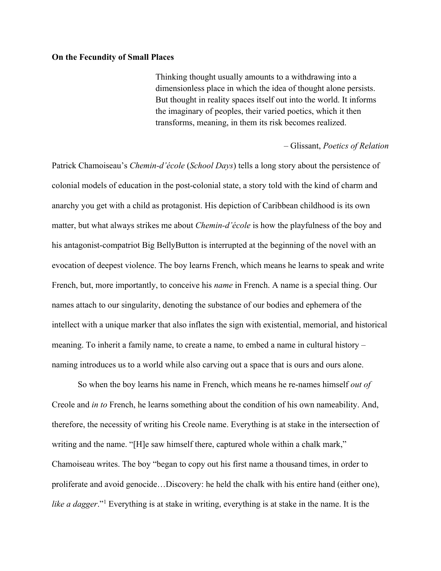## **On the Fecundity of Small Places**

Thinking thought usually amounts to a withdrawing into a dimensionless place in which the idea of thought alone persists. But thought in reality spaces itself out into the world. It informs the imaginary of peoples, their varied poetics, which it then transforms, meaning, in them its risk becomes realized.

## – Glissant, *Poetics of Relation*

Patrick Chamoiseau's *Chemin-d'école* (*School Days*) tells a long story about the persistence of colonial models of education in the post-colonial state, a story told with the kind of charm and anarchy you get with a child as protagonist. His depiction of Caribbean childhood is its own matter, but what always strikes me about *Chemin-d'école* is how the playfulness of the boy and his antagonist-compatriot Big BellyButton is interrupted at the beginning of the novel with an evocation of deepest violence. The boy learns French, which means he learns to speak and write French, but, more importantly, to conceive his *name* in French. A name is a special thing. Our names attach to our singularity, denoting the substance of our bodies and ephemera of the intellect with a unique marker that also inflates the sign with existential, memorial, and historical meaning. To inherit a family name, to create a name, to embed a name in cultural history – naming introduces us to a world while also carving out a space that is ours and ours alone.

So when the boy learns his name in French, which means he re-names himself *out of*  Creole and *in to* French, he learns something about the condition of his own nameability. And, therefore, the necessity of writing his Creole name. Everything is at stake in the intersection of writing and the name. "[H]e saw himself there, captured whole within a chalk mark," Chamoiseau writes. The boy "began to copy out his first name a thousand times, in order to proliferate and avoid genocide…Discovery: he held the chalk with his entire hand (either one), *like a dagger*."1 Everything is at stake in writing, everything is at stake in the name. It is the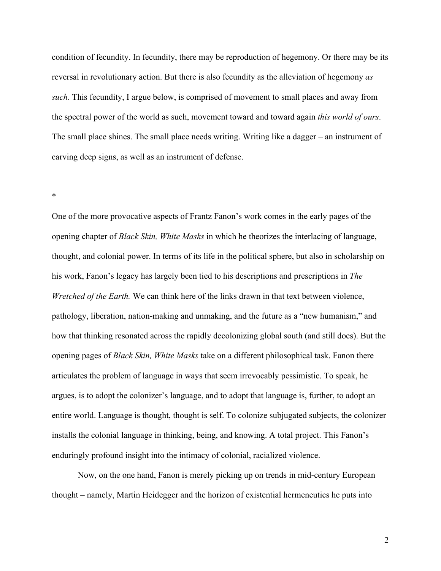condition of fecundity. In fecundity, there may be reproduction of hegemony. Or there may be its reversal in revolutionary action. But there is also fecundity as the alleviation of hegemony *as such*. This fecundity, I argue below, is comprised of movement to small places and away from the spectral power of the world as such, movement toward and toward again *this world of ours*. The small place shines. The small place needs writing. Writing like a dagger – an instrument of carving deep signs, as well as an instrument of defense.

\*

One of the more provocative aspects of Frantz Fanon's work comes in the early pages of the opening chapter of *Black Skin, White Masks* in which he theorizes the interlacing of language, thought, and colonial power. In terms of its life in the political sphere, but also in scholarship on his work, Fanon's legacy has largely been tied to his descriptions and prescriptions in *The Wretched of the Earth.* We can think here of the links drawn in that text between violence, pathology, liberation, nation-making and unmaking, and the future as a "new humanism," and how that thinking resonated across the rapidly decolonizing global south (and still does). But the opening pages of *Black Skin, White Masks* take on a different philosophical task. Fanon there articulates the problem of language in ways that seem irrevocably pessimistic. To speak, he argues, is to adopt the colonizer's language, and to adopt that language is, further, to adopt an entire world. Language is thought, thought is self. To colonize subjugated subjects, the colonizer installs the colonial language in thinking, being, and knowing. A total project. This Fanon's enduringly profound insight into the intimacy of colonial, racialized violence.

Now, on the one hand, Fanon is merely picking up on trends in mid-century European thought – namely, Martin Heidegger and the horizon of existential hermeneutics he puts into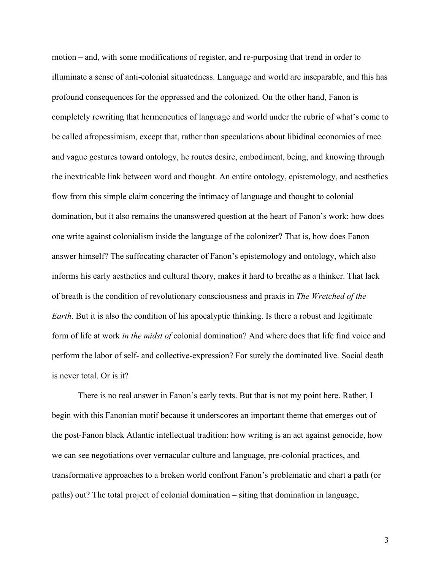motion – and, with some modifications of register, and re-purposing that trend in order to illuminate a sense of anti-colonial situatedness. Language and world are inseparable, and this has profound consequences for the oppressed and the colonized. On the other hand, Fanon is completely rewriting that hermeneutics of language and world under the rubric of what's come to be called afropessimism, except that, rather than speculations about libidinal economies of race and vague gestures toward ontology, he routes desire, embodiment, being, and knowing through the inextricable link between word and thought. An entire ontology, epistemology, and aesthetics flow from this simple claim concering the intimacy of language and thought to colonial domination, but it also remains the unanswered question at the heart of Fanon's work: how does one write against colonialism inside the language of the colonizer? That is, how does Fanon answer himself? The suffocating character of Fanon's epistemology and ontology, which also informs his early aesthetics and cultural theory, makes it hard to breathe as a thinker. That lack of breath is the condition of revolutionary consciousness and praxis in *The Wretched of the Earth*. But it is also the condition of his apocalyptic thinking. Is there a robust and legitimate form of life at work *in the midst of* colonial domination? And where does that life find voice and perform the labor of self- and collective-expression? For surely the dominated live. Social death is never total. Or is it?

There is no real answer in Fanon's early texts. But that is not my point here. Rather, I begin with this Fanonian motif because it underscores an important theme that emerges out of the post-Fanon black Atlantic intellectual tradition: how writing is an act against genocide, how we can see negotiations over vernacular culture and language, pre-colonial practices, and transformative approaches to a broken world confront Fanon's problematic and chart a path (or paths) out? The total project of colonial domination – siting that domination in language,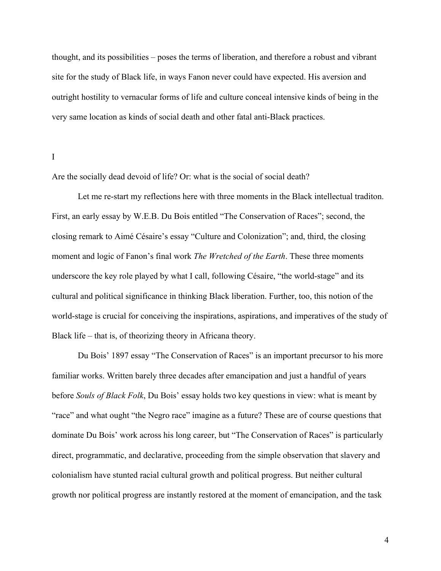thought, and its possibilities – poses the terms of liberation, and therefore a robust and vibrant site for the study of Black life, in ways Fanon never could have expected. His aversion and outright hostility to vernacular forms of life and culture conceal intensive kinds of being in the very same location as kinds of social death and other fatal anti-Black practices.

I

Are the socially dead devoid of life? Or: what is the social of social death?

Let me re-start my reflections here with three moments in the Black intellectual traditon. First, an early essay by W.E.B. Du Bois entitled "The Conservation of Races"; second, the closing remark to Aimé Césaire's essay "Culture and Colonization"; and, third, the closing moment and logic of Fanon's final work *The Wretched of the Earth*. These three moments underscore the key role played by what I call, following Césaire, "the world-stage" and its cultural and political significance in thinking Black liberation. Further, too, this notion of the world-stage is crucial for conceiving the inspirations, aspirations, and imperatives of the study of Black life – that is, of theorizing theory in Africana theory.

Du Bois' 1897 essay "The Conservation of Races" is an important precursor to his more familiar works. Written barely three decades after emancipation and just a handful of years before *Souls of Black Folk*, Du Bois' essay holds two key questions in view: what is meant by "race" and what ought "the Negro race" imagine as a future? These are of course questions that dominate Du Bois' work across his long career, but "The Conservation of Races" is particularly direct, programmatic, and declarative, proceeding from the simple observation that slavery and colonialism have stunted racial cultural growth and political progress. But neither cultural growth nor political progress are instantly restored at the moment of emancipation, and the task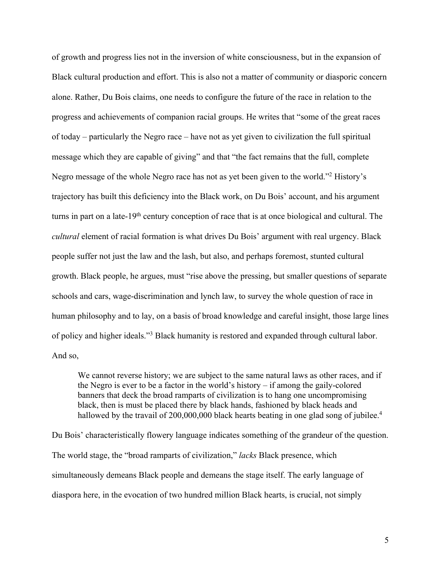of growth and progress lies not in the inversion of white consciousness, but in the expansion of Black cultural production and effort. This is also not a matter of community or diasporic concern alone. Rather, Du Bois claims, one needs to configure the future of the race in relation to the progress and achievements of companion racial groups. He writes that "some of the great races of today – particularly the Negro race – have not as yet given to civilization the full spiritual message which they are capable of giving" and that "the fact remains that the full, complete Negro message of the whole Negro race has not as yet been given to the world."2 History's trajectory has built this deficiency into the Black work, on Du Bois' account, and his argument turns in part on a late-19<sup>th</sup> century conception of race that is at once biological and cultural. The *cultural* element of racial formation is what drives Du Bois' argument with real urgency. Black people suffer not just the law and the lash, but also, and perhaps foremost, stunted cultural growth. Black people, he argues, must "rise above the pressing, but smaller questions of separate schools and cars, wage-discrimination and lynch law, to survey the whole question of race in human philosophy and to lay, on a basis of broad knowledge and careful insight, those large lines of policy and higher ideals."3 Black humanity is restored and expanded through cultural labor. And so,

We cannot reverse history; we are subject to the same natural laws as other races, and if the Negro is ever to be a factor in the world's history – if among the gaily-colored banners that deck the broad ramparts of civilization is to hang one uncompromising black, then is must be placed there by black hands, fashioned by black heads and hallowed by the travail of 200,000,000 black hearts beating in one glad song of jubilee.<sup>4</sup>

Du Bois' characteristically flowery language indicates something of the grandeur of the question. The world stage, the "broad ramparts of civilization," *lacks* Black presence, which simultaneously demeans Black people and demeans the stage itself. The early language of diaspora here, in the evocation of two hundred million Black hearts, is crucial, not simply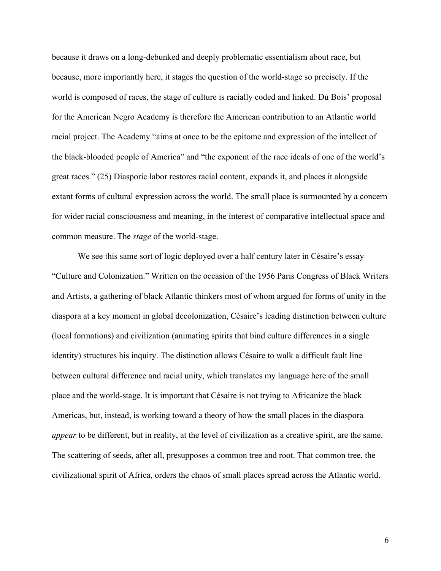because it draws on a long-debunked and deeply problematic essentialism about race, but because, more importantly here, it stages the question of the world-stage so precisely. If the world is composed of races, the stage of culture is racially coded and linked. Du Bois' proposal for the American Negro Academy is therefore the American contribution to an Atlantic world racial project. The Academy "aims at once to be the epitome and expression of the intellect of the black-blooded people of America" and "the exponent of the race ideals of one of the world's great races." (25) Diasporic labor restores racial content, expands it, and places it alongside extant forms of cultural expression across the world. The small place is surmounted by a concern for wider racial consciousness and meaning, in the interest of comparative intellectual space and common measure. The *stage* of the world-stage.

We see this same sort of logic deployed over a half century later in Césaire's essay "Culture and Colonization." Written on the occasion of the 1956 Paris Congress of Black Writers and Artists, a gathering of black Atlantic thinkers most of whom argued for forms of unity in the diaspora at a key moment in global decolonization, Césaire's leading distinction between culture (local formations) and civilization (animating spirits that bind culture differences in a single identity) structures his inquiry. The distinction allows Césaire to walk a difficult fault line between cultural difference and racial unity, which translates my language here of the small place and the world-stage. It is important that Césaire is not trying to Africanize the black Americas, but, instead, is working toward a theory of how the small places in the diaspora *appear* to be different, but in reality, at the level of civilization as a creative spirit, are the same. The scattering of seeds, after all, presupposes a common tree and root. That common tree, the civilizational spirit of Africa, orders the chaos of small places spread across the Atlantic world.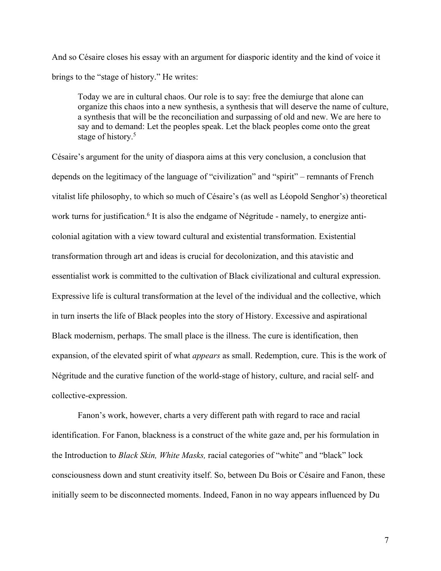And so Césaire closes his essay with an argument for diasporic identity and the kind of voice it brings to the "stage of history." He writes:

Today we are in cultural chaos. Our role is to say: free the demiurge that alone can organize this chaos into a new synthesis, a synthesis that will deserve the name of culture, a synthesis that will be the reconciliation and surpassing of old and new. We are here to say and to demand: Let the peoples speak. Let the black peoples come onto the great stage of history.<sup>5</sup>

Césaire's argument for the unity of diaspora aims at this very conclusion, a conclusion that depends on the legitimacy of the language of "civilization" and "spirit" – remnants of French vitalist life philosophy, to which so much of Césaire's (as well as Léopold Senghor's) theoretical work turns for justification.<sup>6</sup> It is also the endgame of Négritude - namely, to energize anticolonial agitation with a view toward cultural and existential transformation. Existential transformation through art and ideas is crucial for decolonization, and this atavistic and essentialist work is committed to the cultivation of Black civilizational and cultural expression. Expressive life is cultural transformation at the level of the individual and the collective, which in turn inserts the life of Black peoples into the story of History. Excessive and aspirational Black modernism, perhaps. The small place is the illness. The cure is identification, then expansion, of the elevated spirit of what *appears* as small. Redemption, cure. This is the work of Négritude and the curative function of the world-stage of history, culture, and racial self- and collective-expression.

Fanon's work, however, charts a very different path with regard to race and racial identification. For Fanon, blackness is a construct of the white gaze and, per his formulation in the Introduction to *Black Skin, White Masks,* racial categories of "white" and "black" lock consciousness down and stunt creativity itself. So, between Du Bois or Césaire and Fanon, these initially seem to be disconnected moments. Indeed, Fanon in no way appears influenced by Du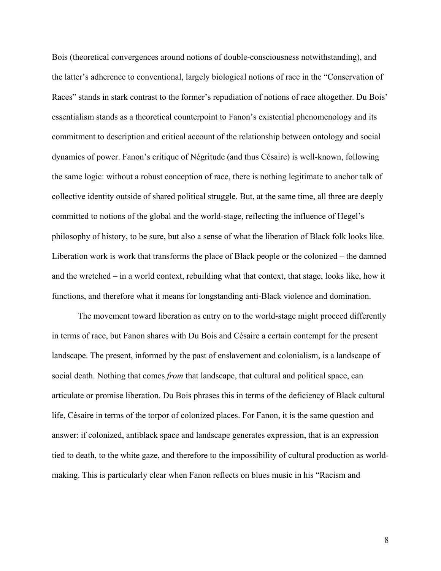Bois (theoretical convergences around notions of double-consciousness notwithstanding), and the latter's adherence to conventional, largely biological notions of race in the "Conservation of Races" stands in stark contrast to the former's repudiation of notions of race altogether. Du Bois' essentialism stands as a theoretical counterpoint to Fanon's existential phenomenology and its commitment to description and critical account of the relationship between ontology and social dynamics of power. Fanon's critique of Négritude (and thus Césaire) is well-known, following the same logic: without a robust conception of race, there is nothing legitimate to anchor talk of collective identity outside of shared political struggle. But, at the same time, all three are deeply committed to notions of the global and the world-stage, reflecting the influence of Hegel's philosophy of history, to be sure, but also a sense of what the liberation of Black folk looks like. Liberation work is work that transforms the place of Black people or the colonized – the damned and the wretched – in a world context, rebuilding what that context, that stage, looks like, how it functions, and therefore what it means for longstanding anti-Black violence and domination.

The movement toward liberation as entry on to the world-stage might proceed differently in terms of race, but Fanon shares with Du Bois and Césaire a certain contempt for the present landscape. The present, informed by the past of enslavement and colonialism, is a landscape of social death. Nothing that comes *from* that landscape, that cultural and political space, can articulate or promise liberation. Du Bois phrases this in terms of the deficiency of Black cultural life, Césaire in terms of the torpor of colonized places. For Fanon, it is the same question and answer: if colonized, antiblack space and landscape generates expression, that is an expression tied to death, to the white gaze, and therefore to the impossibility of cultural production as worldmaking. This is particularly clear when Fanon reflects on blues music in his "Racism and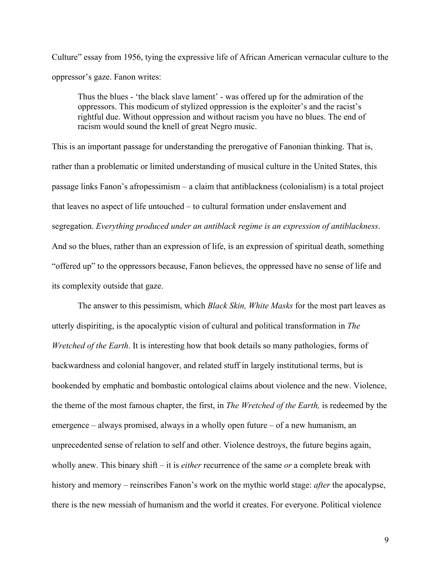Culture" essay from 1956, tying the expressive life of African American vernacular culture to the oppressor's gaze. Fanon writes:

Thus the blues - 'the black slave lament' - was offered up for the admiration of the oppressors. This modicum of stylized oppression is the exploiter's and the racist's rightful due. Without oppression and without racism you have no blues. The end of racism would sound the knell of great Negro music.

This is an important passage for understanding the prerogative of Fanonian thinking. That is, rather than a problematic or limited understanding of musical culture in the United States, this passage links Fanon's afropessimism – a claim that antiblackness (colonialism) is a total project that leaves no aspect of life untouched – to cultural formation under enslavement and segregation. *Everything produced under an antiblack regime is an expression of antiblackness*. And so the blues, rather than an expression of life, is an expression of spiritual death, something "offered up" to the oppressors because, Fanon believes, the oppressed have no sense of life and its complexity outside that gaze.

The answer to this pessimism, which *Black Skin, White Masks* for the most part leaves as utterly dispiriting, is the apocalyptic vision of cultural and political transformation in *The Wretched of the Earth*. It is interesting how that book details so many pathologies, forms of backwardness and colonial hangover, and related stuff in largely institutional terms, but is bookended by emphatic and bombastic ontological claims about violence and the new. Violence, the theme of the most famous chapter, the first, in *The Wretched of the Earth,* is redeemed by the emergence – always promised, always in a wholly open future – of a new humanism, an unprecedented sense of relation to self and other. Violence destroys, the future begins again, wholly anew. This binary shift – it is *either* recurrence of the same *or* a complete break with history and memory – reinscribes Fanon's work on the mythic world stage: *after* the apocalypse, there is the new messiah of humanism and the world it creates. For everyone. Political violence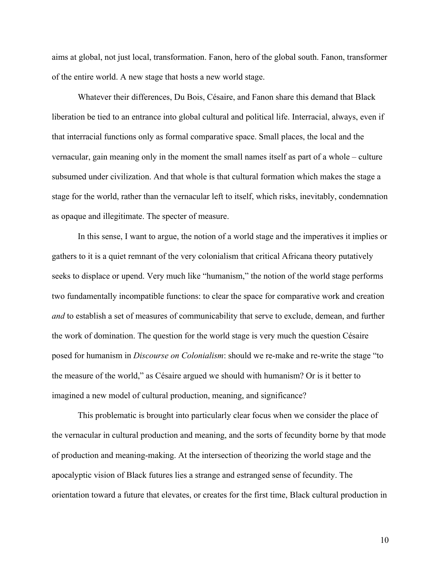aims at global, not just local, transformation. Fanon, hero of the global south. Fanon, transformer of the entire world. A new stage that hosts a new world stage.

Whatever their differences, Du Bois, Césaire, and Fanon share this demand that Black liberation be tied to an entrance into global cultural and political life. Interracial, always, even if that interracial functions only as formal comparative space. Small places, the local and the vernacular, gain meaning only in the moment the small names itself as part of a whole – culture subsumed under civilization. And that whole is that cultural formation which makes the stage a stage for the world, rather than the vernacular left to itself, which risks, inevitably, condemnation as opaque and illegitimate. The specter of measure.

In this sense, I want to argue, the notion of a world stage and the imperatives it implies or gathers to it is a quiet remnant of the very colonialism that critical Africana theory putatively seeks to displace or upend. Very much like "humanism," the notion of the world stage performs two fundamentally incompatible functions: to clear the space for comparative work and creation *and* to establish a set of measures of communicability that serve to exclude, demean, and further the work of domination. The question for the world stage is very much the question Césaire posed for humanism in *Discourse on Colonialism*: should we re-make and re-write the stage "to the measure of the world," as Césaire argued we should with humanism? Or is it better to imagined a new model of cultural production, meaning, and significance?

This problematic is brought into particularly clear focus when we consider the place of the vernacular in cultural production and meaning, and the sorts of fecundity borne by that mode of production and meaning-making. At the intersection of theorizing the world stage and the apocalyptic vision of Black futures lies a strange and estranged sense of fecundity. The orientation toward a future that elevates, or creates for the first time, Black cultural production in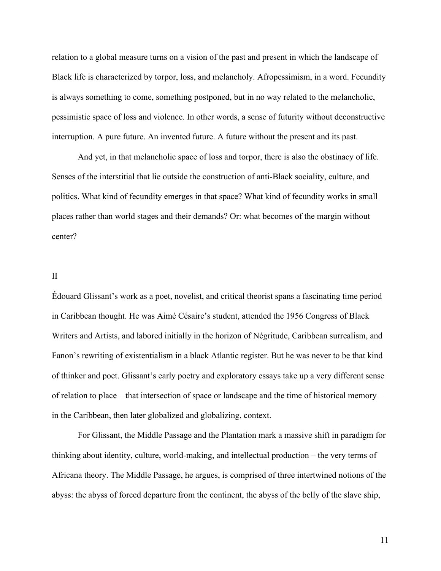relation to a global measure turns on a vision of the past and present in which the landscape of Black life is characterized by torpor, loss, and melancholy. Afropessimism, in a word. Fecundity is always something to come, something postponed, but in no way related to the melancholic, pessimistic space of loss and violence. In other words, a sense of futurity without deconstructive interruption. A pure future. An invented future. A future without the present and its past.

And yet, in that melancholic space of loss and torpor, there is also the obstinacy of life. Senses of the interstitial that lie outside the construction of anti-Black sociality, culture, and politics. What kind of fecundity emerges in that space? What kind of fecundity works in small places rather than world stages and their demands? Or: what becomes of the margin without center?

## II

Édouard Glissant's work as a poet, novelist, and critical theorist spans a fascinating time period in Caribbean thought. He was Aimé Césaire's student, attended the 1956 Congress of Black Writers and Artists, and labored initially in the horizon of Négritude, Caribbean surrealism, and Fanon's rewriting of existentialism in a black Atlantic register. But he was never to be that kind of thinker and poet. Glissant's early poetry and exploratory essays take up a very different sense of relation to place – that intersection of space or landscape and the time of historical memory – in the Caribbean, then later globalized and globalizing, context.

For Glissant, the Middle Passage and the Plantation mark a massive shift in paradigm for thinking about identity, culture, world-making, and intellectual production – the very terms of Africana theory. The Middle Passage, he argues, is comprised of three intertwined notions of the abyss: the abyss of forced departure from the continent, the abyss of the belly of the slave ship,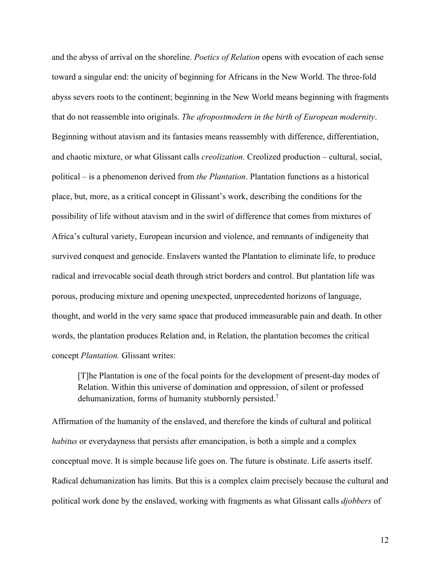and the abyss of arrival on the shoreline. *Poetics of Relation* opens with evocation of each sense toward a singular end: the unicity of beginning for Africans in the New World. The three-fold abyss severs roots to the continent; beginning in the New World means beginning with fragments that do not reassemble into originals. *The afropostmodern in the birth of European modernity*. Beginning without atavism and its fantasies means reassembly with difference, differentiation, and chaotic mixture, or what Glissant calls *creolization.* Creolized production – cultural, social, political – is a phenomenon derived from *the Plantation*. Plantation functions as a historical place, but, more, as a critical concept in Glissant's work, describing the conditions for the possibility of life without atavism and in the swirl of difference that comes from mixtures of Africa's cultural variety, European incursion and violence, and remnants of indigeneity that survived conquest and genocide. Enslavers wanted the Plantation to eliminate life, to produce radical and irrevocable social death through strict borders and control. But plantation life was porous, producing mixture and opening unexpected, unprecedented horizons of language, thought, and world in the very same space that produced immeasurable pain and death. In other words, the plantation produces Relation and, in Relation, the plantation becomes the critical concept *Plantation.* Glissant writes:

[T]he Plantation is one of the focal points for the development of present-day modes of Relation. Within this universe of domination and oppression, of silent or professed dehumanization, forms of humanity stubbornly persisted.<sup>7</sup>

Affirmation of the humanity of the enslaved, and therefore the kinds of cultural and political *habitus* or everydayness that persists after emancipation, is both a simple and a complex conceptual move. It is simple because life goes on. The future is obstinate. Life asserts itself. Radical dehumanization has limits. But this is a complex claim precisely because the cultural and political work done by the enslaved, working with fragments as what Glissant calls *djobbers* of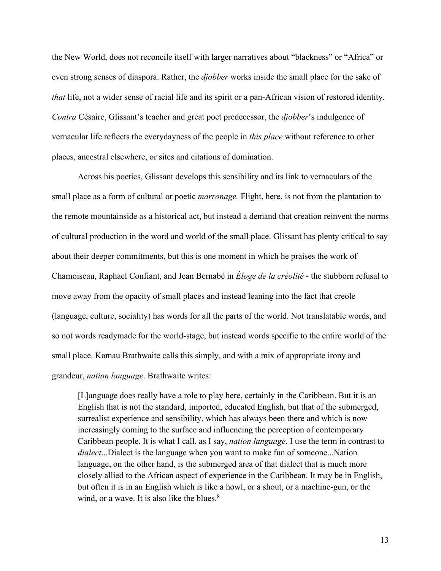the New World, does not reconcile itself with larger narratives about "blackness" or "Africa" or even strong senses of diaspora. Rather, the *djobber* works inside the small place for the sake of *that* life, not a wider sense of racial life and its spirit or a pan-African vision of restored identity. *Contra* Césaire, Glissant's teacher and great poet predecessor, the *djobber*'s indulgence of vernacular life reflects the everydayness of the people in *this place* without reference to other places, ancestral elsewhere, or sites and citations of domination.

Across his poetics, Glissant develops this sensibility and its link to vernaculars of the small place as a form of cultural or poetic *marronage.* Flight, here, is not from the plantation to the remote mountainside as a historical act, but instead a demand that creation reinvent the norms of cultural production in the word and world of the small place. Glissant has plenty critical to say about their deeper commitments, but this is one moment in which he praises the work of Chamoiseau, Raphael Confiant, and Jean Bernabé in *Éloge de la créolité* - the stubborn refusal to move away from the opacity of small places and instead leaning into the fact that creole (language, culture, sociality) has words for all the parts of the world. Not translatable words, and so not words readymade for the world-stage, but instead words specific to the entire world of the small place. Kamau Brathwaite calls this simply, and with a mix of appropriate irony and grandeur, *nation language*. Brathwaite writes:

[L]anguage does really have a role to play here, certainly in the Caribbean. But it is an English that is not the standard, imported, educated English, but that of the submerged, surrealist experience and sensibility, which has always been there and which is now increasingly coming to the surface and influencing the perception of contemporary Caribbean people. It is what I call, as I say, *nation language*. I use the term in contrast to *dialect*...Dialect is the language when you want to make fun of someone...Nation language, on the other hand, is the submerged area of that dialect that is much more closely allied to the African aspect of experience in the Caribbean. It may be in English, but often it is in an English which is like a howl, or a shout, or a machine-gun, or the wind, or a wave. It is also like the blues.<sup>8</sup>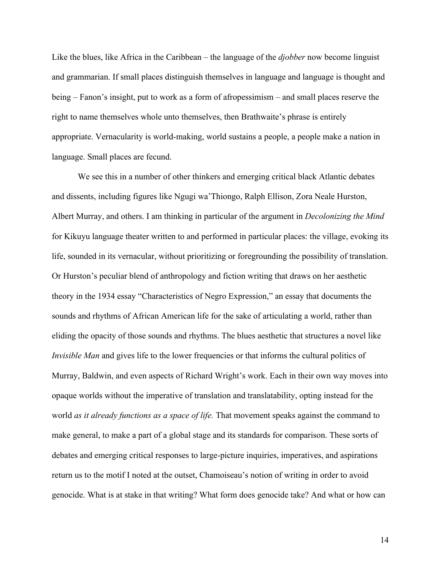Like the blues, like Africa in the Caribbean – the language of the *djobber* now become linguist and grammarian. If small places distinguish themselves in language and language is thought and being – Fanon's insight, put to work as a form of afropessimism – and small places reserve the right to name themselves whole unto themselves, then Brathwaite's phrase is entirely appropriate. Vernacularity is world-making, world sustains a people, a people make a nation in language. Small places are fecund.

We see this in a number of other thinkers and emerging critical black Atlantic debates and dissents, including figures like Ngugi wa'Thiongo, Ralph Ellison, Zora Neale Hurston, Albert Murray, and others. I am thinking in particular of the argument in *Decolonizing the Mind* for Kikuyu language theater written to and performed in particular places: the village, evoking its life, sounded in its vernacular, without prioritizing or foregrounding the possibility of translation. Or Hurston's peculiar blend of anthropology and fiction writing that draws on her aesthetic theory in the 1934 essay "Characteristics of Negro Expression," an essay that documents the sounds and rhythms of African American life for the sake of articulating a world, rather than eliding the opacity of those sounds and rhythms. The blues aesthetic that structures a novel like *Invisible Man* and gives life to the lower frequencies or that informs the cultural politics of Murray, Baldwin, and even aspects of Richard Wright's work. Each in their own way moves into opaque worlds without the imperative of translation and translatability, opting instead for the world *as it already functions as a space of life.* That movement speaks against the command to make general, to make a part of a global stage and its standards for comparison. These sorts of debates and emerging critical responses to large-picture inquiries, imperatives, and aspirations return us to the motif I noted at the outset, Chamoiseau's notion of writing in order to avoid genocide. What is at stake in that writing? What form does genocide take? And what or how can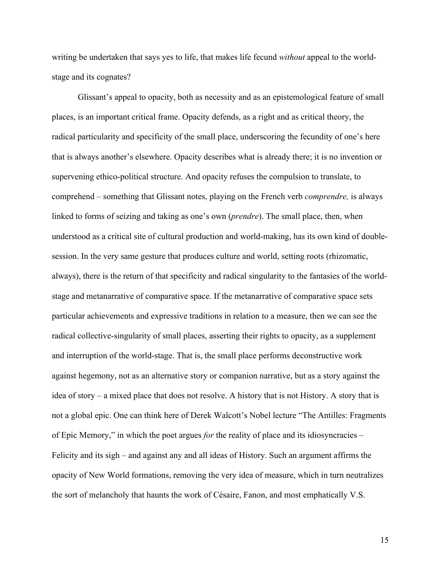writing be undertaken that says yes to life, that makes life fecund *without* appeal to the worldstage and its cognates?

Glissant's appeal to opacity, both as necessity and as an epistemological feature of small places, is an important critical frame. Opacity defends, as a right and as critical theory, the radical particularity and specificity of the small place, underscoring the fecundity of one's here that is always another's elsewhere. Opacity describes what is already there; it is no invention or supervening ethico-political structure. And opacity refuses the compulsion to translate, to comprehend – something that Glissant notes, playing on the French verb *comprendre,* is always linked to forms of seizing and taking as one's own (*prendre*). The small place, then, when understood as a critical site of cultural production and world-making, has its own kind of doublesession. In the very same gesture that produces culture and world, setting roots (rhizomatic, always), there is the return of that specificity and radical singularity to the fantasies of the worldstage and metanarrative of comparative space. If the metanarrative of comparative space sets particular achievements and expressive traditions in relation to a measure, then we can see the radical collective-singularity of small places, asserting their rights to opacity, as a supplement and interruption of the world-stage. That is, the small place performs deconstructive work against hegemony, not as an alternative story or companion narrative, but as a story against the idea of story – a mixed place that does not resolve. A history that is not History. A story that is not a global epic. One can think here of Derek Walcott's Nobel lecture "The Antilles: Fragments of Epic Memory," in which the poet argues *for* the reality of place and its idiosyncracies – Felicity and its sigh – and against any and all ideas of History. Such an argument affirms the opacity of New World formations, removing the very idea of measure, which in turn neutralizes the sort of melancholy that haunts the work of Césaire, Fanon, and most emphatically V.S.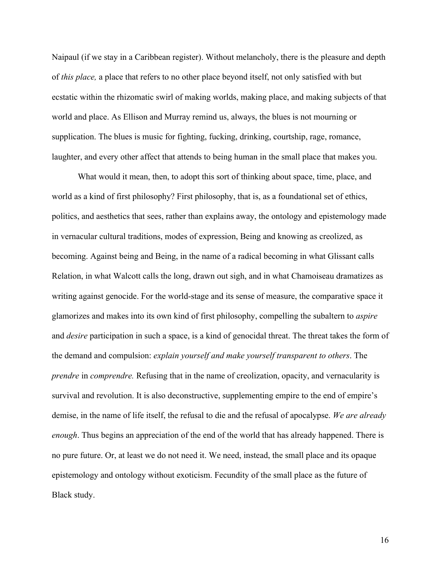Naipaul (if we stay in a Caribbean register). Without melancholy, there is the pleasure and depth of *this place,* a place that refers to no other place beyond itself, not only satisfied with but ecstatic within the rhizomatic swirl of making worlds, making place, and making subjects of that world and place. As Ellison and Murray remind us, always, the blues is not mourning or supplication. The blues is music for fighting, fucking, drinking, courtship, rage, romance, laughter, and every other affect that attends to being human in the small place that makes you.

What would it mean, then, to adopt this sort of thinking about space, time, place, and world as a kind of first philosophy? First philosophy, that is, as a foundational set of ethics, politics, and aesthetics that sees, rather than explains away, the ontology and epistemology made in vernacular cultural traditions, modes of expression, Being and knowing as creolized, as becoming. Against being and Being, in the name of a radical becoming in what Glissant calls Relation, in what Walcott calls the long, drawn out sigh, and in what Chamoiseau dramatizes as writing against genocide. For the world-stage and its sense of measure, the comparative space it glamorizes and makes into its own kind of first philosophy, compelling the subaltern to *aspire*  and *desire* participation in such a space, is a kind of genocidal threat. The threat takes the form of the demand and compulsion: *explain yourself and make yourself transparent to others*. The *prendre* in *comprendre.* Refusing that in the name of creolization, opacity, and vernacularity is survival and revolution. It is also deconstructive, supplementing empire to the end of empire's demise, in the name of life itself, the refusal to die and the refusal of apocalypse. *We are already enough*. Thus begins an appreciation of the end of the world that has already happened. There is no pure future. Or, at least we do not need it. We need, instead, the small place and its opaque epistemology and ontology without exoticism. Fecundity of the small place as the future of Black study.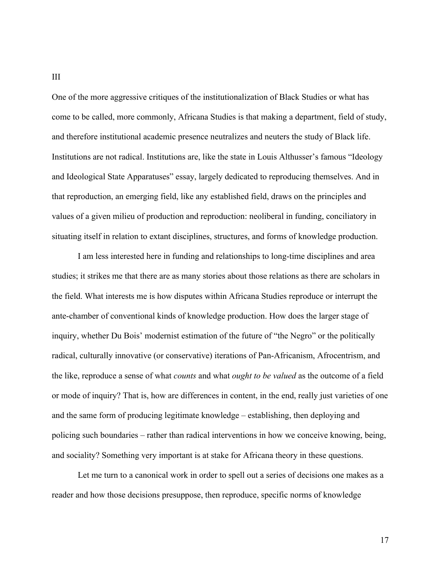One of the more aggressive critiques of the institutionalization of Black Studies or what has come to be called, more commonly, Africana Studies is that making a department, field of study, and therefore institutional academic presence neutralizes and neuters the study of Black life. Institutions are not radical. Institutions are, like the state in Louis Althusser's famous "Ideology and Ideological State Apparatuses" essay, largely dedicated to reproducing themselves. And in that reproduction, an emerging field, like any established field, draws on the principles and values of a given milieu of production and reproduction: neoliberal in funding, conciliatory in situating itself in relation to extant disciplines, structures, and forms of knowledge production.

I am less interested here in funding and relationships to long-time disciplines and area studies; it strikes me that there are as many stories about those relations as there are scholars in the field. What interests me is how disputes within Africana Studies reproduce or interrupt the ante-chamber of conventional kinds of knowledge production. How does the larger stage of inquiry, whether Du Bois' modernist estimation of the future of "the Negro" or the politically radical, culturally innovative (or conservative) iterations of Pan-Africanism, Afrocentrism, and the like, reproduce a sense of what *counts* and what *ought to be valued* as the outcome of a field or mode of inquiry? That is, how are differences in content, in the end, really just varieties of one and the same form of producing legitimate knowledge – establishing, then deploying and policing such boundaries – rather than radical interventions in how we conceive knowing, being, and sociality? Something very important is at stake for Africana theory in these questions.

Let me turn to a canonical work in order to spell out a series of decisions one makes as a reader and how those decisions presuppose, then reproduce, specific norms of knowledge

III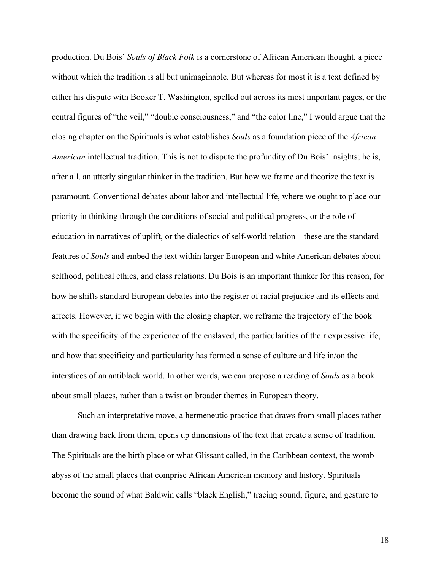production. Du Bois' *Souls of Black Folk* is a cornerstone of African American thought, a piece without which the tradition is all but unimaginable. But whereas for most it is a text defined by either his dispute with Booker T. Washington, spelled out across its most important pages, or the central figures of "the veil," "double consciousness," and "the color line," I would argue that the closing chapter on the Spirituals is what establishes *Souls* as a foundation piece of the *African American* intellectual tradition. This is not to dispute the profundity of Du Bois' insights; he is, after all, an utterly singular thinker in the tradition. But how we frame and theorize the text is paramount. Conventional debates about labor and intellectual life, where we ought to place our priority in thinking through the conditions of social and political progress, or the role of education in narratives of uplift, or the dialectics of self-world relation – these are the standard features of *Souls* and embed the text within larger European and white American debates about selfhood, political ethics, and class relations. Du Bois is an important thinker for this reason, for how he shifts standard European debates into the register of racial prejudice and its effects and affects. However, if we begin with the closing chapter, we reframe the trajectory of the book with the specificity of the experience of the enslaved, the particularities of their expressive life, and how that specificity and particularity has formed a sense of culture and life in/on the interstices of an antiblack world. In other words, we can propose a reading of *Souls* as a book about small places, rather than a twist on broader themes in European theory.

Such an interpretative move, a hermeneutic practice that draws from small places rather than drawing back from them, opens up dimensions of the text that create a sense of tradition. The Spirituals are the birth place or what Glissant called, in the Caribbean context, the wombabyss of the small places that comprise African American memory and history. Spirituals become the sound of what Baldwin calls "black English," tracing sound, figure, and gesture to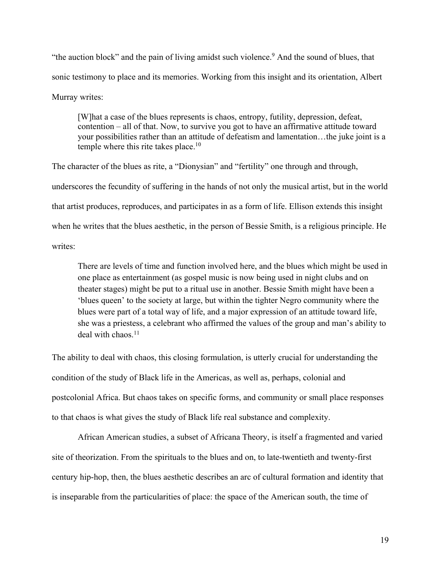"the auction block" and the pain of living amidst such violence.<sup>9</sup> And the sound of blues, that sonic testimony to place and its memories. Working from this insight and its orientation, Albert Murray writes:

[W]hat a case of the blues represents is chaos, entropy, futility, depression, defeat, contention – all of that. Now, to survive you got to have an affirmative attitude toward your possibilities rather than an attitude of defeatism and lamentation…the juke joint is a temple where this rite takes place.<sup>10</sup>

The character of the blues as rite, a "Dionysian" and "fertility" one through and through, underscores the fecundity of suffering in the hands of not only the musical artist, but in the world that artist produces, reproduces, and participates in as a form of life. Ellison extends this insight when he writes that the blues aesthetic, in the person of Bessie Smith, is a religious principle. He writes:

There are levels of time and function involved here, and the blues which might be used in one place as entertainment (as gospel music is now being used in night clubs and on theater stages) might be put to a ritual use in another. Bessie Smith might have been a 'blues queen' to the society at large, but within the tighter Negro community where the blues were part of a total way of life, and a major expression of an attitude toward life, she was a priestess, a celebrant who affirmed the values of the group and man's ability to deal with chaos. $11$ 

The ability to deal with chaos, this closing formulation, is utterly crucial for understanding the condition of the study of Black life in the Americas, as well as, perhaps, colonial and postcolonial Africa. But chaos takes on specific forms, and community or small place responses to that chaos is what gives the study of Black life real substance and complexity.

African American studies, a subset of Africana Theory, is itself a fragmented and varied site of theorization. From the spirituals to the blues and on, to late-twentieth and twenty-first century hip-hop, then, the blues aesthetic describes an arc of cultural formation and identity that is inseparable from the particularities of place: the space of the American south, the time of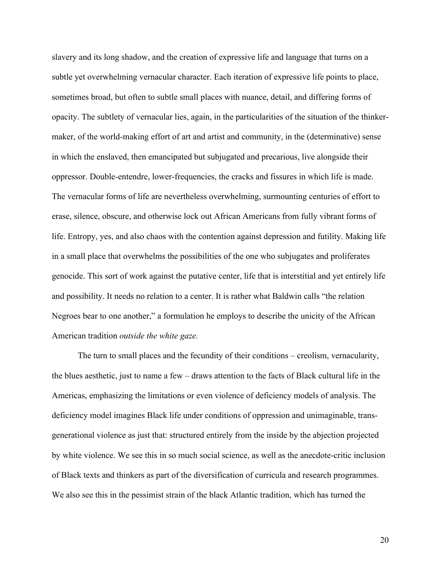slavery and its long shadow, and the creation of expressive life and language that turns on a subtle yet overwhelming vernacular character. Each iteration of expressive life points to place, sometimes broad, but often to subtle small places with nuance, detail, and differing forms of opacity. The subtlety of vernacular lies, again, in the particularities of the situation of the thinkermaker, of the world-making effort of art and artist and community, in the (determinative) sense in which the enslaved, then emancipated but subjugated and precarious, live alongside their oppressor. Double-entendre, lower-frequencies, the cracks and fissures in which life is made. The vernacular forms of life are nevertheless overwhelming, surmounting centuries of effort to erase, silence, obscure, and otherwise lock out African Americans from fully vibrant forms of life. Entropy, yes, and also chaos with the contention against depression and futility. Making life in a small place that overwhelms the possibilities of the one who subjugates and proliferates genocide. This sort of work against the putative center, life that is interstitial and yet entirely life and possibility. It needs no relation to a center. It is rather what Baldwin calls "the relation Negroes bear to one another," a formulation he employs to describe the unicity of the African American tradition *outside the white gaze.*

The turn to small places and the fecundity of their conditions – creolism, vernacularity, the blues aesthetic, just to name a few – draws attention to the facts of Black cultural life in the Americas, emphasizing the limitations or even violence of deficiency models of analysis. The deficiency model imagines Black life under conditions of oppression and unimaginable, transgenerational violence as just that: structured entirely from the inside by the abjection projected by white violence. We see this in so much social science, as well as the anecdote-critic inclusion of Black texts and thinkers as part of the diversification of curricula and research programmes. We also see this in the pessimist strain of the black Atlantic tradition, which has turned the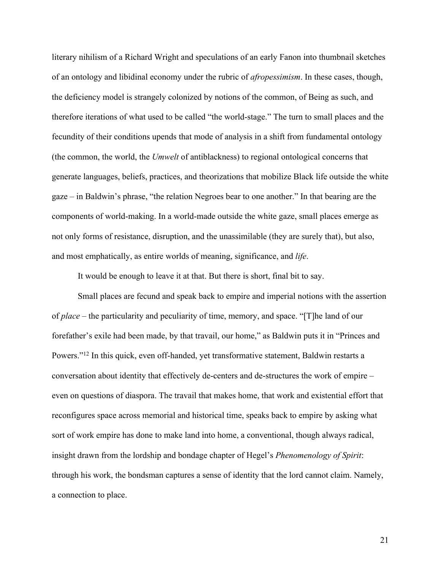literary nihilism of a Richard Wright and speculations of an early Fanon into thumbnail sketches of an ontology and libidinal economy under the rubric of *afropessimism*. In these cases, though, the deficiency model is strangely colonized by notions of the common, of Being as such, and therefore iterations of what used to be called "the world-stage." The turn to small places and the fecundity of their conditions upends that mode of analysis in a shift from fundamental ontology (the common, the world, the *Umwelt* of antiblackness) to regional ontological concerns that generate languages, beliefs, practices, and theorizations that mobilize Black life outside the white gaze – in Baldwin's phrase, "the relation Negroes bear to one another." In that bearing are the components of world-making. In a world-made outside the white gaze, small places emerge as not only forms of resistance, disruption, and the unassimilable (they are surely that), but also, and most emphatically, as entire worlds of meaning, significance, and *life*.

It would be enough to leave it at that. But there is short, final bit to say.

Small places are fecund and speak back to empire and imperial notions with the assertion of *place* – the particularity and peculiarity of time, memory, and space. "[T]he land of our forefather's exile had been made, by that travail, our home," as Baldwin puts it in "Princes and Powers."<sup>12</sup> In this quick, even off-handed, yet transformative statement, Baldwin restarts a conversation about identity that effectively de-centers and de-structures the work of empire – even on questions of diaspora. The travail that makes home, that work and existential effort that reconfigures space across memorial and historical time, speaks back to empire by asking what sort of work empire has done to make land into home, a conventional, though always radical, insight drawn from the lordship and bondage chapter of Hegel's *Phenomenology of Spirit*: through his work, the bondsman captures a sense of identity that the lord cannot claim. Namely, a connection to place.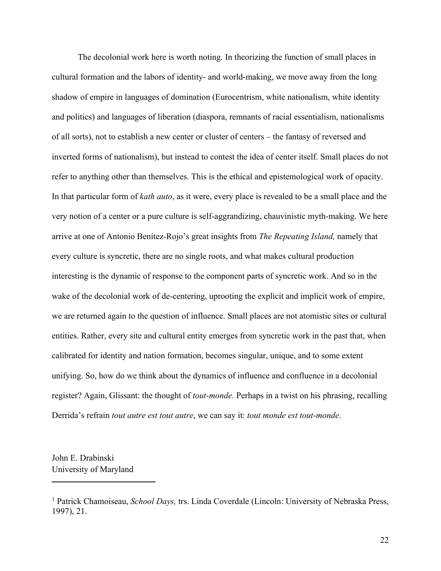The decolonial work here is worth noting. In theorizing the function of small places in cultural formation and the labors of identity- and world-making, we move away from the long shadow of empire in languages of domination (Eurocentrism, white nationalism, white identity and politics) and languages of liberation (diaspora, remnants of racial essentialism, nationalisms of all sorts), not to establish a new center or cluster of centers – the fantasy of reversed and inverted forms of nationalism), but instead to contest the idea of center itself. Small places do not refer to anything other than themselves. This is the ethical and epistemological work of opacity. In that particular form of *kath auto*, as it were, every place is revealed to be a small place and the very notion of a center or a pure culture is self-aggrandizing, chauvinistic myth-making. We here arrive at one of Antonio Benítez-Rojo's great insights from *The Repeating Island,* namely that every culture is syncretic, there are no single roots, and what makes cultural production interesting is the dynamic of response to the component parts of syncretic work. And so in the wake of the decolonial work of de-centering, uprooting the explicit and implicit work of empire, we are returned again to the question of influence. Small places are not atomistic sites or cultural entities. Rather, every site and cultural entity emerges from syncretic work in the past that, when calibrated for identity and nation formation, becomes singular, unique, and to some extent unifying. So, how do we think about the dynamics of influence and confluence in a decolonial register? Again, Glissant: the thought of *tout-monde.* Perhaps in a twist on his phrasing, recalling Derrida's refrain *tout autre est tout autre*, we can say it: *tout monde est tout-monde*.

John E. Drabinski University of Maryland

<sup>1</sup> Patrick Chamoiseau, *School Days,* trs. Linda Coverdale (Lincoln: University of Nebraska Press, 1997), 21.